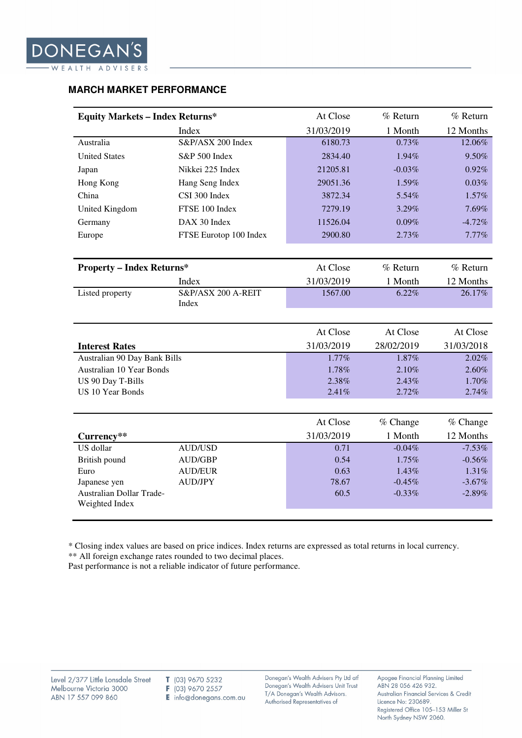| At Close<br>% Return<br>% Return<br><b>Equity Markets - Index Returns*</b> |                             |            |            |            |  |  |
|----------------------------------------------------------------------------|-----------------------------|------------|------------|------------|--|--|
|                                                                            |                             |            |            |            |  |  |
|                                                                            | Index                       | 31/03/2019 | 1 Month    | 12 Months  |  |  |
| Australia                                                                  | S&P/ASX 200 Index           | 6180.73    | 0.73%      | 12.06%     |  |  |
| <b>United States</b>                                                       | S&P 500 Index               | 2834.40    | 1.94%      | 9.50%      |  |  |
| Japan                                                                      | Nikkei 225 Index            | 21205.81   | $-0.03%$   | 0.92%      |  |  |
| Hong Kong                                                                  | Hang Seng Index             | 29051.36   | 1.59%      | 0.03%      |  |  |
| China                                                                      | CSI 300 Index               | 3872.34    | 5.54%      | 1.57%      |  |  |
| United Kingdom                                                             | FTSE 100 Index              | 7279.19    | 3.29%      | 7.69%      |  |  |
| Germany                                                                    | DAX 30 Index                | 11526.04   | 0.09%      | $-4.72%$   |  |  |
| Europe                                                                     | FTSE Eurotop 100 Index      | 2900.80    | 2.73%      | 7.77%      |  |  |
|                                                                            |                             |            |            |            |  |  |
| <b>Property - Index Returns*</b>                                           |                             | At Close   | % Return   | % Return   |  |  |
|                                                                            | Index                       | 31/03/2019 | 1 Month    | 12 Months  |  |  |
| Listed property                                                            | S&P/ASX 200 A-REIT<br>Index | 1567.00    | 6.22%      | 26.17%     |  |  |
|                                                                            |                             |            |            |            |  |  |
|                                                                            |                             | At Close   | At Close   | At Close   |  |  |
| <b>Interest Rates</b>                                                      |                             | 31/03/2019 | 28/02/2019 | 31/03/2018 |  |  |
| Australian 90 Day Bank Bills                                               |                             | 1.77%      | 1.87%      | 2.02%      |  |  |
| Australian 10 Year Bonds                                                   |                             | 1.78%      | 2.10%      | 2.60%      |  |  |
| US 90 Day T-Bills                                                          |                             | 2.38%      | 2.43%      | 1.70%      |  |  |
| <b>US 10 Year Bonds</b>                                                    |                             | 2.41%      | 2.72%      | 2.74%      |  |  |
|                                                                            |                             |            |            |            |  |  |
|                                                                            |                             | At Close   | % Change   | % Change   |  |  |
| Currency**                                                                 |                             | 31/03/2019 | 1 Month    | 12 Months  |  |  |
| US dollar                                                                  | <b>AUD/USD</b>              | 0.71       | $-0.04%$   | $-7.53\%$  |  |  |
| British pound                                                              | <b>AUD/GBP</b>              | 0.54       | 1.75%      | $-0.56%$   |  |  |
| Euro                                                                       | <b>AUD/EUR</b>              | 0.63       | 1.43%      | 1.31%      |  |  |
| Japanese yen                                                               | <b>AUD/JPY</b>              | 78.67      | $-0.45%$   | $-3.67%$   |  |  |
| Australian Dollar Trade-<br>Weighted Index                                 |                             | 60.5       | $-0.33%$   | $-2.89%$   |  |  |

#### **MARCH MARKET PERFORMANCE**

\* Closing index values are based on price indices. Index returns are expressed as total returns in local currency.

\*\* All foreign exchange rates rounded to two decimal places.

Past performance is not a reliable indicator of future performance.

Donegan's Wealth Advisers Pty Ltd atf Donegan's Wealth Advisers Unit Trust T/A Donegan's Wealth Advisors. Authorised Representatives of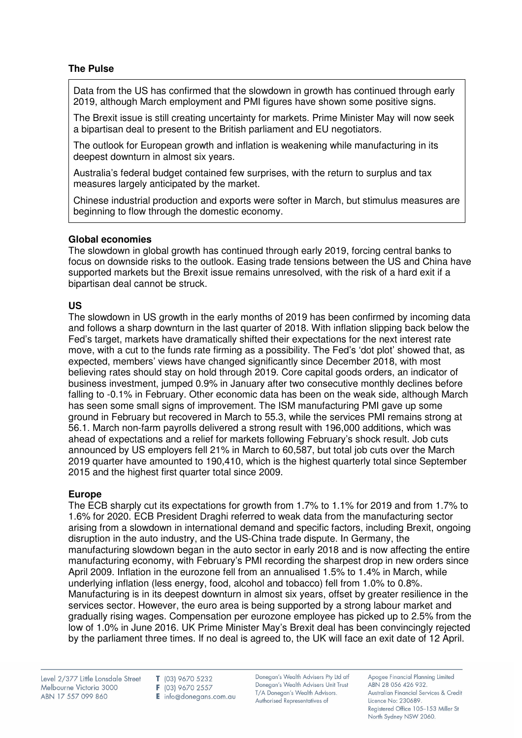# **The Pulse**

Data from the US has confirmed that the slowdown in growth has continued through early 2019, although March employment and PMI figures have shown some positive signs.

The Brexit issue is still creating uncertainty for markets. Prime Minister May will now seek a bipartisan deal to present to the British parliament and EU negotiators.

The outlook for European growth and inflation is weakening while manufacturing in its deepest downturn in almost six years.

Australia's federal budget contained few surprises, with the return to surplus and tax measures largely anticipated by the market.

Chinese industrial production and exports were softer in March, but stimulus measures are beginning to flow through the domestic economy.

## **Global economies**

The slowdown in global growth has continued through early 2019, forcing central banks to focus on downside risks to the outlook. Easing trade tensions between the US and China have supported markets but the Brexit issue remains unresolved, with the risk of a hard exit if a bipartisan deal cannot be struck.

## **US**

The slowdown in US growth in the early months of 2019 has been confirmed by incoming data and follows a sharp downturn in the last quarter of 2018. With inflation slipping back below the Fed's target, markets have dramatically shifted their expectations for the next interest rate move, with a cut to the funds rate firming as a possibility. The Fed's 'dot plot' showed that, as expected, members' views have changed significantly since December 2018, with most believing rates should stay on hold through 2019. Core capital goods orders, an indicator of business investment, jumped 0.9% in January after two consecutive monthly declines before falling to -0.1% in February. Other economic data has been on the weak side, although March has seen some small signs of improvement. The ISM manufacturing PMI gave up some ground in February but recovered in March to 55.3, while the services PMI remains strong at 56.1. March non-farm payrolls delivered a strong result with 196,000 additions, which was ahead of expectations and a relief for markets following February's shock result. Job cuts announced by US employers fell 21% in March to 60,587, but total job cuts over the March 2019 quarter have amounted to 190,410, which is the highest quarterly total since September 2015 and the highest first quarter total since 2009.

#### **Europe**

The ECB sharply cut its expectations for growth from 1.7% to 1.1% for 2019 and from 1.7% to 1.6% for 2020. ECB President Draghi referred to weak data from the manufacturing sector arising from a slowdown in international demand and specific factors, including Brexit, ongoing disruption in the auto industry, and the US-China trade dispute. In Germany, the manufacturing slowdown began in the auto sector in early 2018 and is now affecting the entire manufacturing economy, with February's PMI recording the sharpest drop in new orders since April 2009. Inflation in the eurozone fell from an annualised 1.5% to 1.4% in March, while underlying inflation (less energy, food, alcohol and tobacco) fell from 1.0% to 0.8%. Manufacturing is in its deepest downturn in almost six years, offset by greater resilience in the services sector. However, the euro area is being supported by a strong labour market and gradually rising wages. Compensation per eurozone employee has picked up to 2.5% from the low of 1.0% in June 2016. UK Prime Minister May's Brexit deal has been convincingly rejected by the parliament three times. If no deal is agreed to, the UK will face an exit date of 12 April.

Level 2/377 Little Lonsdale Street Melbourne Victoria 3000 ABN 17 557 099 860

T (03) 9670 5232 F (03) 9670 2557 E info@donegans.com.au

Donegan's Wealth Advisers Pty Ltd atf Donegan's Wealth Advisers Unit Trust T/A Donegan's Wealth Advisors. Authorised Representatives of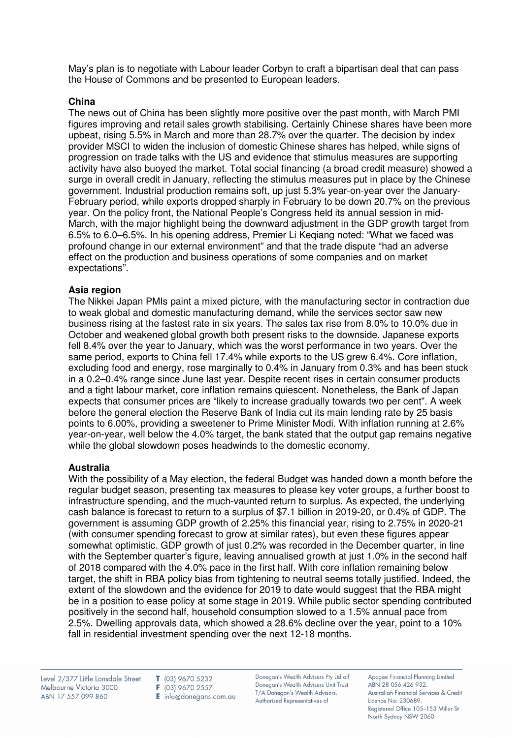May's plan is to negotiate with Labour leader Corbyn to craft a bipartisan deal that can pass the House of Commons and be presented to European leaders.

## **China**

The news out of China has been slightly more positive over the past month, with March PMI figures improving and retail sales growth stabilising. Certainly Chinese shares have been more upbeat, rising 5.5% in March and more than 28.7% over the quarter. The decision by index provider MSCI to widen the inclusion of domestic Chinese shares has helped, while signs of progression on trade talks with the US and evidence that stimulus measures are supporting activity have also buoyed the market. Total social financing (a broad credit measure) showed a surge in overall credit in January, reflecting the stimulus measures put in place by the Chinese government. Industrial production remains soft, up just 5.3% year-on-year over the January-February period, while exports dropped sharply in February to be down 20.7% on the previous year. On the policy front, the National People's Congress held its annual session in mid-March, with the major highlight being the downward adjustment in the GDP growth target from 6.5% to 6.0–6.5%. In his opening address, Premier Li Keqiang noted: "What we faced was profound change in our external environment" and that the trade dispute "had an adverse effect on the production and business operations of some companies and on market expectations".

## **Asia region**

The Nikkei Japan PMIs paint a mixed picture, with the manufacturing sector in contraction due to weak global and domestic manufacturing demand, while the services sector saw new business rising at the fastest rate in six years. The sales tax rise from 8.0% to 10.0% due in October and weakened global growth both present risks to the downside. Japanese exports fell 8.4% over the year to January, which was the worst performance in two years. Over the same period, exports to China fell 17.4% while exports to the US grew 6.4%. Core inflation, excluding food and energy, rose marginally to 0.4% in January from 0.3% and has been stuck in a 0.2–0.4% range since June last year. Despite recent rises in certain consumer products and a tight labour market, core inflation remains quiescent. Nonetheless, the Bank of Japan expects that consumer prices are "likely to increase gradually towards two per cent". A week before the general election the Reserve Bank of India cut its main lending rate by 25 basis points to 6.00%, providing a sweetener to Prime Minister Modi. With inflation running at 2.6% year-on-year, well below the 4.0% target, the bank stated that the output gap remains negative while the global slowdown poses headwinds to the domestic economy.

#### **Australia**

With the possibility of a May election, the federal Budget was handed down a month before the regular budget season, presenting tax measures to please key voter groups, a further boost to infrastructure spending, and the much-vaunted return to surplus. As expected, the underlying cash balance is forecast to return to a surplus of \$7.1 billion in 2019-20, or 0.4% of GDP. The government is assuming GDP growth of 2.25% this financial year, rising to 2.75% in 2020-21 (with consumer spending forecast to grow at similar rates), but even these figures appear somewhat optimistic. GDP growth of just 0.2% was recorded in the December quarter, in line with the September quarter's figure, leaving annualised growth at just 1.0% in the second half of 2018 compared with the 4.0% pace in the first half. With core inflation remaining below target, the shift in RBA policy bias from tightening to neutral seems totally justified. Indeed, the extent of the slowdown and the evidence for 2019 to date would suggest that the RBA might be in a position to ease policy at some stage in 2019. While public sector spending contributed positively in the second half, household consumption slowed to a 1.5% annual pace from 2.5%. Dwelling approvals data, which showed a 28.6% decline over the year, point to a 10% fall in residential investment spending over the next 12-18 months.

Level 2/377 Little Lonsdale Street Melbourne Victoria 3000 ABN 17 557 099 860

T (03) 9670 5232 F (03) 9670 2557 E info@donegans.com.au Donegan's Wealth Advisers Pty Ltd atf Donegan's Wealth Advisers Unit Trust T/A Donegan's Wealth Advisors. Authorised Representatives of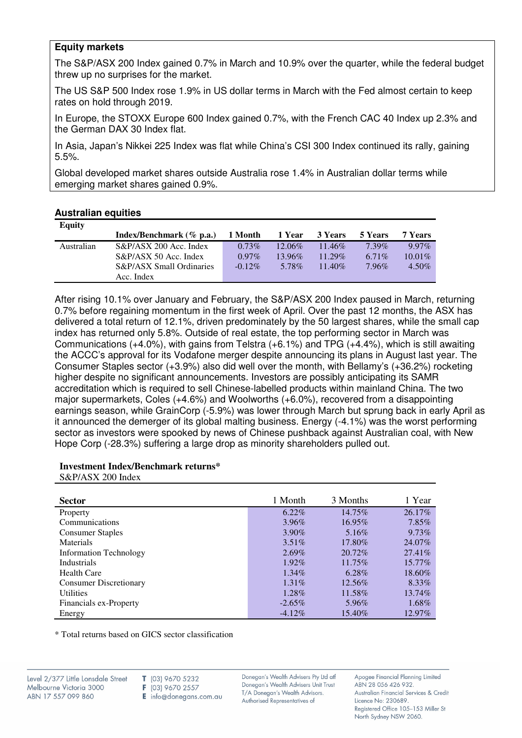## **Equity markets**

The S&P/ASX 200 Index gained 0.7% in March and 10.9% over the quarter, while the federal budget threw up no surprises for the market.

The US S&P 500 Index rose 1.9% in US dollar terms in March with the Fed almost certain to keep rates on hold through 2019.

In Europe, the STOXX Europe 600 Index gained 0.7%, with the French CAC 40 Index up 2.3% and the German DAX 30 Index flat.

In Asia, Japan's Nikkei 225 Index was flat while China's CSI 300 Index continued its rally, gaining 5.5%.

Global developed market shares outside Australia rose 1.4% in Australian dollar terms while emerging market shares gained 0.9%.

#### **Australian equities**

| <b>Equity</b> |                             |           |           |           |          |           |
|---------------|-----------------------------|-----------|-----------|-----------|----------|-----------|
|               | Index/Benchmark $(\%$ p.a.) | 1 Month   | 1 Year    | 3 Years   | 5 Years  | 7 Years   |
| Australian    | $S\&P/ASX$ 200 Acc. Index   | $0.73\%$  | $12.06\%$ | $11.46\%$ | $7.39\%$ | $9.97\%$  |
|               | S&P/ASX 50 Acc. Index       | $0.97\%$  | 13.96%    | $11.29\%$ | $6.71\%$ | $10.01\%$ |
|               | S&P/ASX Small Ordinaries    | $-0.12\%$ | 5.78%     | $11.40\%$ | $7.96\%$ | $4.50\%$  |
|               | Acc. Index                  |           |           |           |          |           |

After rising 10.1% over January and February, the S&P/ASX 200 Index paused in March, returning 0.7% before regaining momentum in the first week of April. Over the past 12 months, the ASX has delivered a total return of 12.1%, driven predominately by the 50 largest shares, while the small cap index has returned only 5.8%. Outside of real estate, the top performing sector in March was Communications (+4.0%), with gains from Telstra (+6.1%) and TPG (+4.4%), which is still awaiting the ACCC's approval for its Vodafone merger despite announcing its plans in August last year. The Consumer Staples sector (+3.9%) also did well over the month, with Bellamy's (+36.2%) rocketing higher despite no significant announcements. Investors are possibly anticipating its SAMR accreditation which is required to sell Chinese-labelled products within mainland China. The two major supermarkets, Coles (+4.6%) and Woolworths (+6.0%), recovered from a disappointing earnings season, while GrainCorp (-5.9%) was lower through March but sprung back in early April as it announced the demerger of its global malting business. Energy (-4.1%) was the worst performing sector as investors were spooked by news of Chinese pushback against Australian coal, with New Hope Corp (-28.3%) suffering a large drop as minority shareholders pulled out.

#### **Investment Index/Benchmark returns\***

S&P/ASX 200 Index

| <b>Sector</b>                 | 1 Month   | 3 Months  | 1 Year    |
|-------------------------------|-----------|-----------|-----------|
| Property                      | $6.22\%$  | 14.75%    | 26.17%    |
| Communications                | 3.96%     | 16.95%    | 7.85%     |
| <b>Consumer Staples</b>       | $3.90\%$  | 5.16\%    | 9.73%     |
| Materials                     | $3.51\%$  | 17.80%    | 24.07%    |
| <b>Information Technology</b> | $2.69\%$  | $20.72\%$ | 27.41%    |
| <b>Industrials</b>            | 1.92%     | $11.75\%$ | $15.77\%$ |
| <b>Health Care</b>            | $1.34\%$  | $6.28\%$  | 18.60%    |
| <b>Consumer Discretionary</b> | $1.31\%$  | 12.56%    | 8.33%     |
| <b>Utilities</b>              | $1.28\%$  | 11.58%    | 13.74%    |
| Financials ex-Property        | $-2.65\%$ | 5.96%     | 1.68%     |
| Energy                        | $-4.12\%$ | 15.40%    | 12.97%    |

\* Total returns based on GICS sector classification

Donegan's Wealth Advisers Pty Ltd atf Donegan's Wealth Advisers Unit Trust T/A Donegan's Wealth Advisors. Authorised Representatives of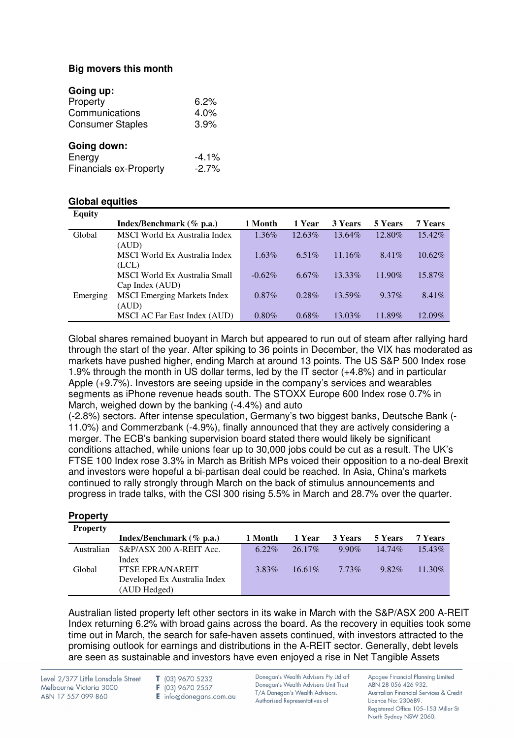# **Big movers this month**

| Going up:                     |          |
|-------------------------------|----------|
| Property                      | 6.2%     |
| Communications                | 4.0%     |
| <b>Consumer Staples</b>       | 3.9%     |
| Going down:                   |          |
| Energy                        | $-4.1\%$ |
| <b>Financials ex-Property</b> | $-2.7\%$ |

# **Global equities**

| <b>Equity</b> |                                      |           |          |         |           |           |
|---------------|--------------------------------------|-----------|----------|---------|-----------|-----------|
|               | Index/Benchmark (% p.a.)             | 1 Month   | 1 Year   | 3 Years | 5 Years   | 7 Years   |
| Global        | MSCI World Ex Australia Index        | $1.36\%$  | 12.63%   | 13.64%  | 12.80%    | 15.42%    |
|               | (AUD)                                |           |          |         |           |           |
|               | <b>MSCI</b> World Ex Australia Index | $1.63\%$  | 6.51%    | 11.16\% | $8.41\%$  | $10.62\%$ |
|               | (LCL)                                |           |          |         |           |           |
|               | MSCI World Ex Australia Small        | $-0.62\%$ | $6.67\%$ | 13.33%  | $11.90\%$ | 15.87%    |
|               | Cap Index (AUD)                      |           |          |         |           |           |
| Emerging      | <b>MSCI</b> Emerging Markets Index   | $0.87\%$  | $0.28\%$ | 13.59%  | $9.37\%$  | $8.41\%$  |
|               | (AUD)                                |           |          |         |           |           |
|               | MSCI AC Far East Index (AUD)         | $0.80\%$  | $0.68\%$ | 13.03%  | 11.89%    | 12.09%    |

Global shares remained buoyant in March but appeared to run out of steam after rallying hard through the start of the year. After spiking to 36 points in December, the VIX has moderated as markets have pushed higher, ending March at around 13 points. The US S&P 500 Index rose 1.9% through the month in US dollar terms, led by the IT sector (+4.8%) and in particular Apple (+9.7%). Investors are seeing upside in the company's services and wearables segments as iPhone revenue heads south. The STOXX Europe 600 Index rose 0.7% in March, weighed down by the banking (-4.4%) and auto

(-2.8%) sectors. After intense speculation, Germany's two biggest banks, Deutsche Bank (- 11.0%) and Commerzbank (-4.9%), finally announced that they are actively considering a merger. The ECB's banking supervision board stated there would likely be significant conditions attached, while unions fear up to 30,000 jobs could be cut as a result. The UK's FTSE 100 Index rose 3.3% in March as British MPs voiced their opposition to a no-deal Brexit and investors were hopeful a bi-partisan deal could be reached. In Asia, China's markets continued to rally strongly through March on the back of stimulus announcements and progress in trade talks, with the CSI 300 rising 5.5% in March and 28.7% over the quarter.

| <b>Property</b> |                              |          |           |          |           |           |
|-----------------|------------------------------|----------|-----------|----------|-----------|-----------|
| <b>Property</b> |                              |          |           |          |           |           |
|                 | Index/Benchmark $(\%$ p.a.)  | 1 Month  | 1 Year    | 3 Years  | 5 Years   | 7 Years   |
| Australian      | S&P/ASX 200 A-REIT Acc.      | $6.22\%$ | $26.17\%$ | $9.90\%$ | $14.74\%$ | $15.43\%$ |
|                 | Index                        |          |           |          |           |           |
| Global          | <b>FTSE EPRA/NAREIT</b>      | 3.83%    | $16.61\%$ | $7.73\%$ | $9.82\%$  | $11.30\%$ |
|                 | Developed Ex Australia Index |          |           |          |           |           |
|                 | (AUD Hedged)                 |          |           |          |           |           |

Australian listed property left other sectors in its wake in March with the S&P/ASX 200 A-REIT Index returning 6.2% with broad gains across the board. As the recovery in equities took some time out in March, the search for safe-haven assets continued, with investors attracted to the promising outlook for earnings and distributions in the A-REIT sector. Generally, debt levels are seen as sustainable and investors have even enjoyed a rise in Net Tangible Assets

Level 2/377 Little Lonsdale Street Melbourne Victoria 3000 ABN 17 557 099 860

T (03) 9670 5232 F (03) 9670 2557

E info@donegans.com.au

Donegan's Wealth Advisers Pty Ltd atf Donegan's Wealth Advisers Unit Trust T/A Donegan's Wealth Advisors. Authorised Representatives of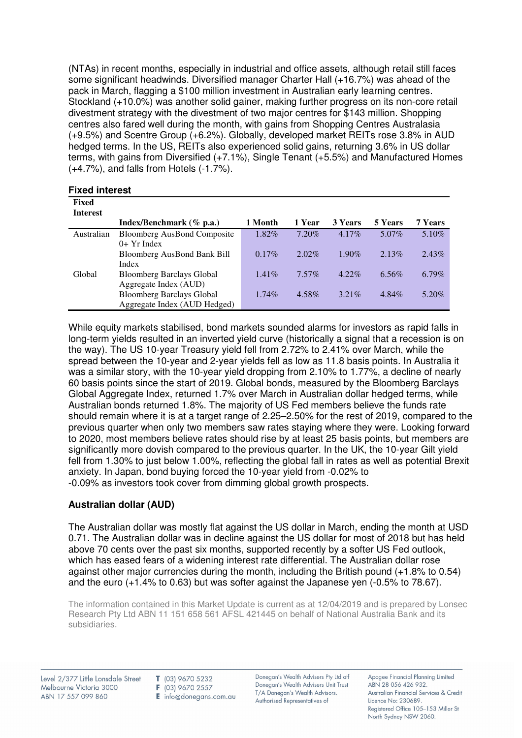(NTAs) in recent months, especially in industrial and office assets, although retail still faces some significant headwinds. Diversified manager Charter Hall (+16.7%) was ahead of the pack in March, flagging a \$100 million investment in Australian early learning centres. Stockland (+10.0%) was another solid gainer, making further progress on its non-core retail divestment strategy with the divestment of two major centres for \$143 million. Shopping centres also fared well during the month, with gains from Shopping Centres Australasia (+9.5%) and Scentre Group (+6.2%). Globally, developed market REITs rose 3.8% in AUD hedged terms. In the US, REITs also experienced solid gains, returning 3.6% in US dollar terms, with gains from Diversified (+7.1%), Single Tenant (+5.5%) and Manufactured Homes (+4.7%), and falls from Hotels (-1.7%).

| Fixed           |                                    |          |          |          |          |          |
|-----------------|------------------------------------|----------|----------|----------|----------|----------|
| <b>Interest</b> |                                    |          |          |          |          |          |
|                 | Index/Benchmark $(\%$ p.a.)        | 1 Month  | 1 Year   | 3 Years  | 5 Years  | 7 Years  |
| Australian      | <b>Bloomberg AusBond Composite</b> | $1.82\%$ | 7.20%    | $4.17\%$ | 5.07%    | $5.10\%$ |
|                 | $0+$ Yr Index                      |          |          |          |          |          |
|                 | Bloomberg AusBond Bank Bill        | $0.17\%$ | $2.02\%$ | $1.90\%$ | $2.13\%$ | $2.43\%$ |
|                 | Index                              |          |          |          |          |          |
| Global          | <b>Bloomberg Barclays Global</b>   | $1.41\%$ | $7.57\%$ | $4.22\%$ | $6.56\%$ | $6.79\%$ |
|                 | Aggregate Index (AUD)              |          |          |          |          |          |
|                 | <b>Bloomberg Barclays Global</b>   | $1.74\%$ | 4.58%    | $3.21\%$ | $4.84\%$ | 5.20%    |
|                 | Aggregate Index (AUD Hedged)       |          |          |          |          |          |

While equity markets stabilised, bond markets sounded alarms for investors as rapid falls in long-term yields resulted in an inverted yield curve (historically a signal that a recession is on the way). The US 10-year Treasury yield fell from 2.72% to 2.41% over March, while the spread between the 10-year and 2-year yields fell as low as 11.8 basis points. In Australia it was a similar story, with the 10-year yield dropping from 2.10% to 1.77%, a decline of nearly 60 basis points since the start of 2019. Global bonds, measured by the Bloomberg Barclays Global Aggregate Index, returned 1.7% over March in Australian dollar hedged terms, while Australian bonds returned 1.8%. The majority of US Fed members believe the funds rate should remain where it is at a target range of 2.25–2.50% for the rest of 2019, compared to the previous quarter when only two members saw rates staying where they were. Looking forward to 2020, most members believe rates should rise by at least 25 basis points, but members are significantly more dovish compared to the previous quarter. In the UK, the 10-year Gilt yield fell from 1.30% to just below 1.00%, reflecting the global fall in rates as well as potential Brexit anxiety. In Japan, bond buying forced the 10-year yield from -0.02% to -0.09% as investors took cover from dimming global growth prospects.

# **Australian dollar (AUD)**

The Australian dollar was mostly flat against the US dollar in March, ending the month at USD 0.71. The Australian dollar was in decline against the US dollar for most of 2018 but has held above 70 cents over the past six months, supported recently by a softer US Fed outlook, which has eased fears of a widening interest rate differential. The Australian dollar rose against other major currencies during the month, including the British pound (+1.8% to 0.54) and the euro (+1.4% to 0.63) but was softer against the Japanese yen (-0.5% to 78.67).

The information contained in this Market Update is current as at 12/04/2019 and is prepared by Lonsec Research Pty Ltd ABN 11 151 658 561 AFSL 421445 on behalf of National Australia Bank and its subsidiaries.

Level 2/377 Little Lonsdale Street Melbourne Victoria 3000 ABN 17 557 099 860

T (03) 9670 5232 F (03) 9670 2557 E info@donegans.com.au Donegan's Wealth Advisers Pty Ltd atf Donegan's Wealth Advisers Unit Trust T/A Donegan's Wealth Advisors. Authorised Representatives of